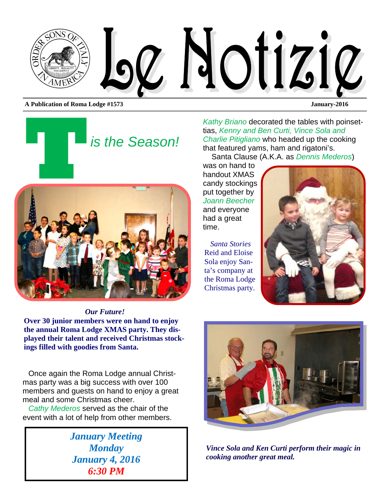

*is the Season!* 



*Our Future!*  **Over 30 junior members were on hand to enjoy the annual Roma Lodge XMAS party. They displayed their talent and received Christmas stockings filled with goodies from Santa.** 

Once again the Roma Lodge annual Christmas party was a big success with over 100 members and guests on hand to enjoy a great meal and some Christmas cheer.

*Cathy Mederos* served as the chair of the event with a lot of help from other members.

> *January Meeting Monday January 4, 2016 6:30 PM*

*Kathy Briano* decorated the tables with poinsettias, *Kenny and Ben Curti, Vince Sola and Charlie Pitigliano* who headed up the cooking that featured yams, ham and rigatoni's.

Santa Clause (A.K.A. as *Dennis Mederos*)

was on hand to handout XMAS candy stockings put together by *Joann Beecher*  and everyone had a great time.

*Santa Stories*  Reid and Eloise Sola enjoy Santa's company at the Roma Lodge Christmas party.





*Vince Sola and Ken Curti perform their magic in cooking another great meal.*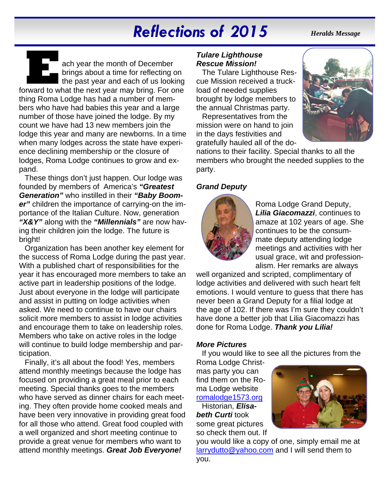# *Reflections of 2015*

#### *Heralds Message*

**E** ach year the month of December forward to what the next year may bring. For one brings about a time for reflecting on the past year and each of us looking thing Roma Lodge has had a number of members who have had babies this year and a large number of those have joined the lodge. By my count we have had 13 new members join the lodge this year and many are newborns. In a time when many lodges across the state have experience declining membership or the closure of lodges, Roma Lodge continues to grow and expand.

These things don't just happen. Our lodge was founded by members of America's *"Greatest Generation"* who instilled in their *"Baby Boomer"* children the importance of carrying-on the importance of the Italian Culture. Now, generation *"X&Y"* along with the *"Millennials"* are now having their children join the lodge. The future is bright!

Organization has been another key element for the success of Roma Lodge during the past year. With a published chart of responsibilities for the year it has encouraged more members to take an active part in leadership positions of the lodge. Just about everyone in the lodge will participate and assist in putting on lodge activities when asked. We need to continue to have our chairs solicit more members to assist in lodge activities and encourage them to take on leadership roles. Members who take on active roles in the lodge will continue to build lodge membership and participation.

Finally, it's all about the food! Yes, members attend monthly meetings because the lodge has focused on providing a great meal prior to each meeting. Special thanks goes to the members who have served as dinner chairs for each meeting. They often provide home cooked meals and have been very innovative in providing great food for all those who attend. Great food coupled with a well organized and short meeting continue to provide a great venue for members who want to attend monthly meetings. *Great Job Everyone!* 

#### *Tulare Lighthouse Rescue Mission!*

The Tulare Lighthouse Rescue Mission received a truckload of needed supplies brought by lodge members to the annual Christmas party.

Representatives from the mission were on hand to join in the days festivities and gratefully hauled all of the do-



nations to their facility. Special thanks to all the members who brought the needed supplies to the party.

#### *Grand Deputy*



Roma Lodge Grand Deputy, *Lilia Giacomazzi*, continues to amaze at 102 years of age. She continues to be the consummate deputy attending lodge meetings and activities with her usual grace, wit and professionalism. Her remarks are always

well organized and scripted, complimentary of lodge activities and delivered with such heart felt emotions. I would venture to guess that there has never been a Grand Deputy for a filial lodge at the age of 102. If there was I'm sure they couldn't have done a better job that Lilia Giacomazzi has done for Roma Lodge. *Thank you Lilia!* 

#### *More Pictures*

If you would like to see all the pictures from the

Roma Lodge Christmas party you can find them on the Roma Lodge website romalodge1573.org

Historian, *Elisabeth Curti* took some great pictures so check them out. If



you would like a copy of one, simply email me at larrydutto@yahoo.com and I will send them to you.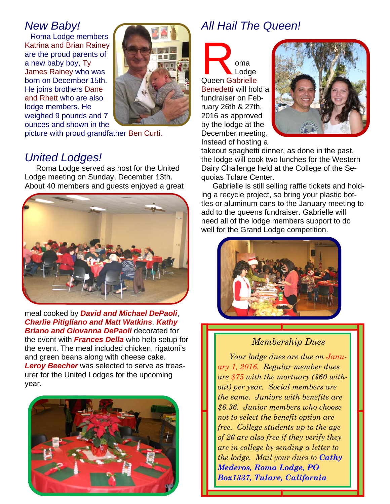## *New Baby!*

Roma Lodge members Katrina and Brian Rainey are the proud parents of a new baby boy, Ty James Rainey who was born on December 15th. He joins brothers Dane and Rhett who are also lodge members. He weighed 9 pounds and 7 ounces and shown in the



picture with proud grandfather Ben Curti.

## *United Lodges!*

Roma Lodge served as host for the United Lodge meeting on Sunday, December 13th. About 40 members and guests enjoyed a great



meal cooked by *David and Michael DePaoli*, *Charlie Pitigliano and Matt Watkins*. *Kathy Briano and Giovanna DePaoli* decorated for the event with *Frances Della* who help setup for the event. The meal included chicken, rigatoni's and green beans along with cheese cake. *Leroy Beecher* was selected to serve as treasurer for the United Lodges for the upcoming year.



## *All Hail The Queen!*

**R oma**<br>Queen Gabrielle Lodge Benedetti will hold a fundraiser on February 26th & 27th, 2016 as approved by the lodge at the December meeting. Instead of hosting a



takeout spaghetti dinner, as done in the past, the lodge will cook two lunches for the Western Dairy Challenge held at the College of the Sequoias Tulare Center.

Gabrielle is still selling raffle tickets and holding a recycle project, so bring your plastic bottles or aluminum cans to the January meeting to add to the queens fundraiser. Gabrielle will need all of the lodge members support to do well for the Grand Lodge competition.



#### *Membership Dues*

*Your lodge dues are due on January 1, 2016. Regular member dues are \$75 with the mortuary (\$60 without) per year. Social members are the same. Juniors with benefits are \$6.36. Junior members who choose not to select the benefit option are free. College students up to the age of 26 are also free if they verify they are in college by sending a letter to the lodge. Mail your dues to Cathy Mederos, Roma Lodge, PO Box1337, Tulare, California* 

1